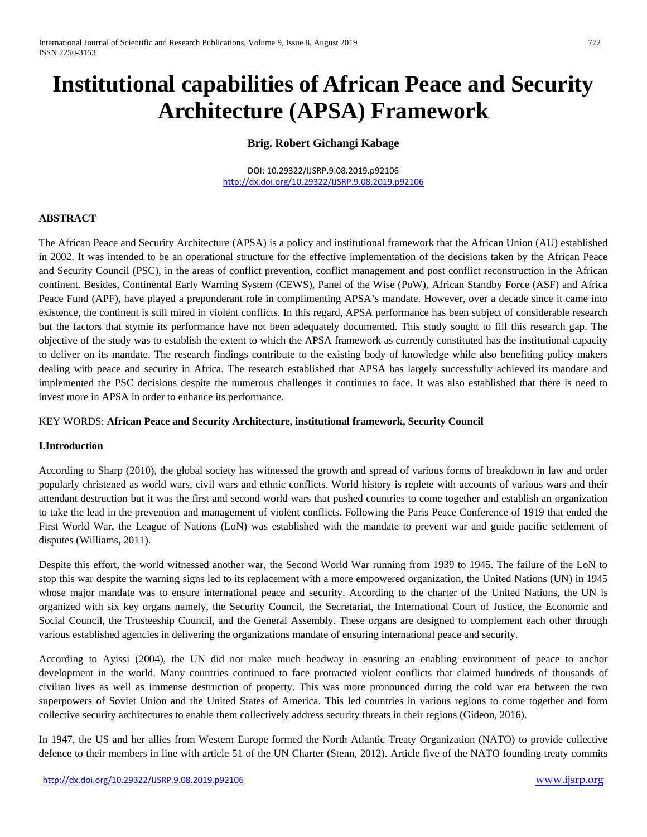# **Institutional capabilities of African Peace and Security Architecture (APSA) Framework**

## **Brig. Robert Gichangi Kabage**

DOI: 10.29322/IJSRP.9.08.2019.p92106 <http://dx.doi.org/10.29322/IJSRP.9.08.2019.p92106>

## **ABSTRACT**

The African Peace and Security Architecture (APSA) is a policy and institutional framework that the African Union (AU) established in 2002. It was intended to be an operational structure for the effective implementation of the decisions taken by the African Peace and Security Council (PSC), in the areas of conflict prevention, conflict management and post conflict reconstruction in the African continent. Besides, Continental Early Warning System (CEWS), Panel of the Wise (PoW), African Standby Force (ASF) and Africa Peace Fund (APF), have played a preponderant role in complimenting APSA's mandate. However, over a decade since it came into existence, the continent is still mired in violent conflicts. In this regard, APSA performance has been subject of considerable research but the factors that stymie its performance have not been adequately documented. This study sought to fill this research gap. The objective of the study was to establish the extent to which the APSA framework as currently constituted has the institutional capacity to deliver on its mandate. The research findings contribute to the existing body of knowledge while also benefiting policy makers dealing with peace and security in Africa. The research established that APSA has largely successfully achieved its mandate and implemented the PSC decisions despite the numerous challenges it continues to face. It was also established that there is need to invest more in APSA in order to enhance its performance.

## KEY WORDS: **African Peace and Security Architecture, institutional framework, Security Council**

#### **I.Introduction**

According to Sharp (2010), the global society has witnessed the growth and spread of various forms of breakdown in law and order popularly christened as world wars, civil wars and ethnic conflicts. World history is replete with accounts of various wars and their attendant destruction but it was the first and second world wars that pushed countries to come together and establish an organization to take the lead in the prevention and management of violent conflicts. Following the Paris Peace Conference of 1919 that ended the First World War, the League of Nations (LoN) was established with the mandate to prevent war and guide pacific settlement of disputes (Williams, 2011).

Despite this effort, the world witnessed another war, the Second World War running from 1939 to 1945. The failure of the LoN to stop this war despite the warning signs led to its replacement with a more empowered organization, the United Nations (UN) in 1945 whose major mandate was to ensure international peace and security. According to the charter of the United Nations, the UN is organized with six key organs namely, the Security Council, the Secretariat, the International Court of Justice, the Economic and Social Council, the Trusteeship Council, and the General Assembly. These organs are designed to complement each other through various established agencies in delivering the organizations mandate of ensuring international peace and security.

According to Ayissi (2004), the UN did not make much headway in ensuring an enabling environment of peace to anchor development in the world. Many countries continued to face protracted violent conflicts that claimed hundreds of thousands of civilian lives as well as immense destruction of property. This was more pronounced during the cold war era between the two superpowers of Soviet Union and the United States of America. This led countries in various regions to come together and form collective security architectures to enable them collectively address security threats in their regions (Gideon, 2016).

In 1947, the US and her allies from Western Europe formed the North Atlantic Treaty Organization (NATO) to provide collective defence to their members in line with article 51 of the UN Charter (Stenn, 2012). Article five of the NATO founding treaty commits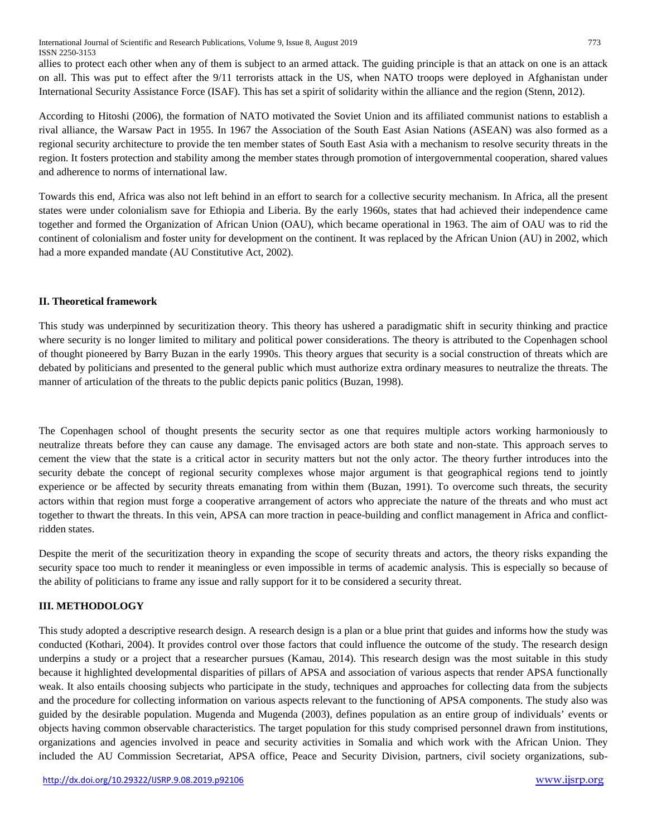International Journal of Scientific and Research Publications, Volume 9, Issue 8, August 2019 773 ISSN 2250-3153

allies to protect each other when any of them is subject to an armed attack. The guiding principle is that an attack on one is an attack on all. This was put to effect after the 9/11 terrorists attack in the US, when NATO troops were deployed in Afghanistan under International Security Assistance Force (ISAF). This has set a spirit of solidarity within the alliance and the region (Stenn, 2012).

According to Hitoshi (2006), the formation of NATO motivated the Soviet Union and its affiliated communist nations to establish a rival alliance, the Warsaw Pact in 1955. In 1967 the Association of the South East Asian Nations (ASEAN) was also formed as a regional security architecture to provide the ten member states of South East Asia with a mechanism to resolve security threats in the region. It fosters protection and stability among the member states through promotion of intergovernmental cooperation, shared values and adherence to norms of international law.

Towards this end, Africa was also not left behind in an effort to search for a collective security mechanism. In Africa, all the present states were under colonialism save for Ethiopia and Liberia. By the early 1960s, states that had achieved their independence came together and formed the Organization of African Union (OAU), which became operational in 1963. The aim of OAU was to rid the continent of colonialism and foster unity for development on the continent. It was replaced by the African Union (AU) in 2002, which had a more expanded mandate (AU Constitutive Act, 2002).

### **II. Theoretical framework**

This study was underpinned by securitization theory. This theory has ushered a paradigmatic shift in security thinking and practice where security is no longer limited to military and political power considerations. The theory is attributed to the Copenhagen school of thought pioneered by Barry Buzan in the early 1990s. This theory argues that security is a social construction of threats which are debated by politicians and presented to the general public which must authorize extra ordinary measures to neutralize the threats. The manner of articulation of the threats to the public depicts panic politics (Buzan, 1998).

The Copenhagen school of thought presents the security sector as one that requires multiple actors working harmoniously to neutralize threats before they can cause any damage. The envisaged actors are both state and non-state. This approach serves to cement the view that the state is a critical actor in security matters but not the only actor. The theory further introduces into the security debate the concept of regional security complexes whose major argument is that geographical regions tend to jointly experience or be affected by security threats emanating from within them (Buzan, 1991). To overcome such threats, the security actors within that region must forge a cooperative arrangement of actors who appreciate the nature of the threats and who must act together to thwart the threats. In this vein, APSA can more traction in peace-building and conflict management in Africa and conflictridden states.

Despite the merit of the securitization theory in expanding the scope of security threats and actors, the theory risks expanding the security space too much to render it meaningless or even impossible in terms of academic analysis. This is especially so because of the ability of politicians to frame any issue and rally support for it to be considered a security threat.

### **III. METHODOLOGY**

This study adopted a descriptive research design. A research design is a plan or a blue print that guides and informs how the study was conducted (Kothari, 2004). It provides control over those factors that could influence the outcome of the study. The research design underpins a study or a project that a researcher pursues (Kamau, 2014). This research design was the most suitable in this study because it highlighted developmental disparities of pillars of APSA and association of various aspects that render APSA functionally weak. It also entails choosing subjects who participate in the study, techniques and approaches for collecting data from the subjects and the procedure for collecting information on various aspects relevant to the functioning of APSA components. The study also was guided by the desirable population. Mugenda and Mugenda (2003), defines population as an entire group of individuals' events or objects having common observable characteristics. The target population for this study comprised personnel drawn from institutions, organizations and agencies involved in peace and security activities in Somalia and which work with the African Union. They included the AU Commission Secretariat, APSA office, Peace and Security Division, partners, civil society organizations, sub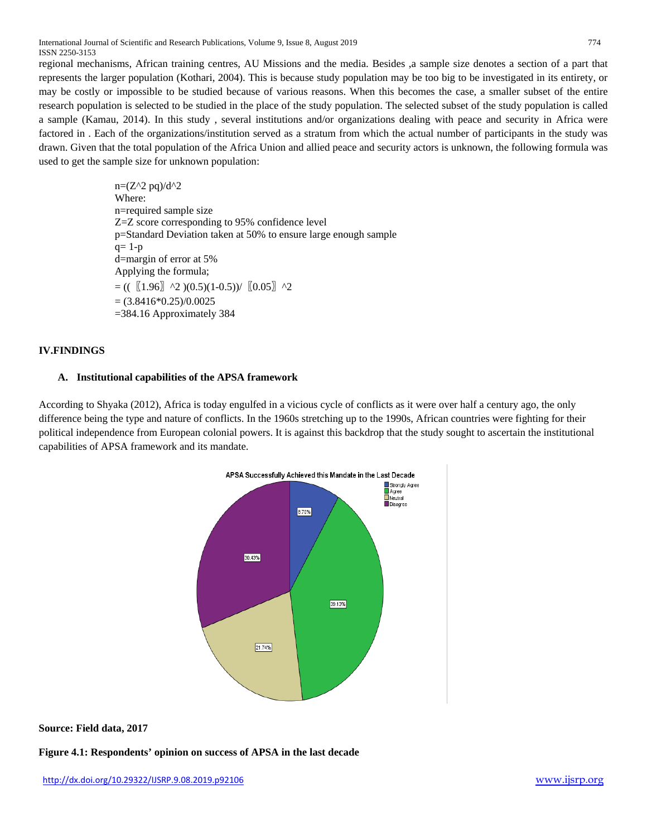International Journal of Scientific and Research Publications, Volume 9, Issue 8, August 2019 774 ISSN 2250-3153

regional mechanisms, African training centres, AU Missions and the media. Besides ,a sample size denotes a section of a part that represents the larger population (Kothari, 2004). This is because study population may be too big to be investigated in its entirety, or may be costly or impossible to be studied because of various reasons. When this becomes the case, a smaller subset of the entire research population is selected to be studied in the place of the study population. The selected subset of the study population is called a sample (Kamau, 2014). In this study , several institutions and/or organizations dealing with peace and security in Africa were factored in . Each of the organizations/institution served as a stratum from which the actual number of participants in the study was drawn. Given that the total population of the Africa Union and allied peace and security actors is unknown, the following formula was used to get the sample size for unknown population:

> $n=(Z^2 \cdot 2 \cdot pq)/d^2$ Where: n=required sample size Z=Z score corresponding to 95% confidence level p=Standard Deviation taken at 50% to ensure large enough sample  $q=1-p$ d=margin of error at 5% Applying the formula;  $= ((\left[1.96\right] \right.$  ^2  $)(0.5)(1-0.5))/$   $\left[0.05\right]$  ^2  $= (3.8416*0.25)/0.0025$ =384.16 Approximately 384

## **IV.FINDINGS**

#### **A. Institutional capabilities of the APSA framework**

According to Shyaka (2012), Africa is today engulfed in a vicious cycle of conflicts as it were over half a century ago, the only difference being the type and nature of conflicts. In the 1960s stretching up to the 1990s, African countries were fighting for their political independence from European colonial powers. It is against this backdrop that the study sought to ascertain the institutional capabilities of APSA framework and its mandate.



**Source: Field data, 2017**

**Figure 4.1: Respondents' opinion on success of APSA in the last decade**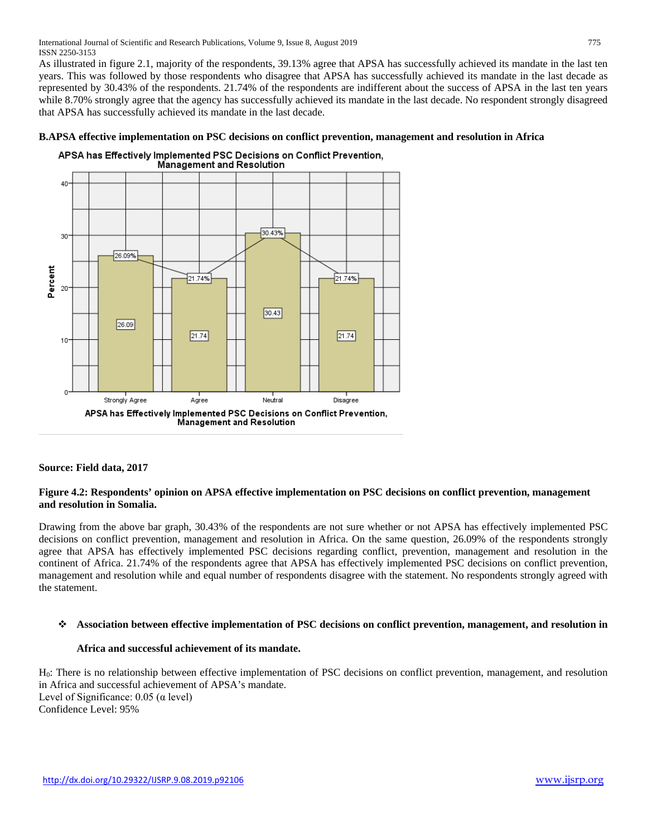As illustrated in figure 2.1, majority of the respondents, 39.13% agree that APSA has successfully achieved its mandate in the last ten years. This was followed by those respondents who disagree that APSA has successfully achieved its mandate in the last decade as represented by 30.43% of the respondents. 21.74% of the respondents are indifferent about the success of APSA in the last ten years while 8.70% strongly agree that the agency has successfully achieved its mandate in the last decade. No respondent strongly disagreed that APSA has successfully achieved its mandate in the last decade.

## APSA has Effectively Implemented PSC Decisions on Conflict Prevention, Management and Resolution 40 30.43% 30 26.09% Percent  $21.74%$ 21.74%  $30.43$  $26.09$  $21.74$  $21.74$ 10 O<sup>-</sup> Strongly Agree Agree Neutral Disagree APSA has Effectively Implemented PSC Decisions on Conflict Prevention, Management and Resolution

## **B.APSA effective implementation on PSC decisions on conflict prevention, management and resolution in Africa**

## **Source: Field data, 2017**

### **Figure 4.2: Respondents' opinion on APSA effective implementation on PSC decisions on conflict prevention, management and resolution in Somalia.**

Drawing from the above bar graph, 30.43% of the respondents are not sure whether or not APSA has effectively implemented PSC decisions on conflict prevention, management and resolution in Africa. On the same question, 26.09% of the respondents strongly agree that APSA has effectively implemented PSC decisions regarding conflict, prevention, management and resolution in the continent of Africa. 21.74% of the respondents agree that APSA has effectively implemented PSC decisions on conflict prevention, management and resolution while and equal number of respondents disagree with the statement. No respondents strongly agreed with the statement.

#### **Association between effective implementation of PSC decisions on conflict prevention, management, and resolution in**

## **Africa and successful achievement of its mandate.**

H<sub>0</sub>: There is no relationship between effective implementation of PSC decisions on conflict prevention, management, and resolution in Africa and successful achievement of APSA's mandate. Level of Significance:  $0.05$  ( $\alpha$  level) Confidence Level: 95%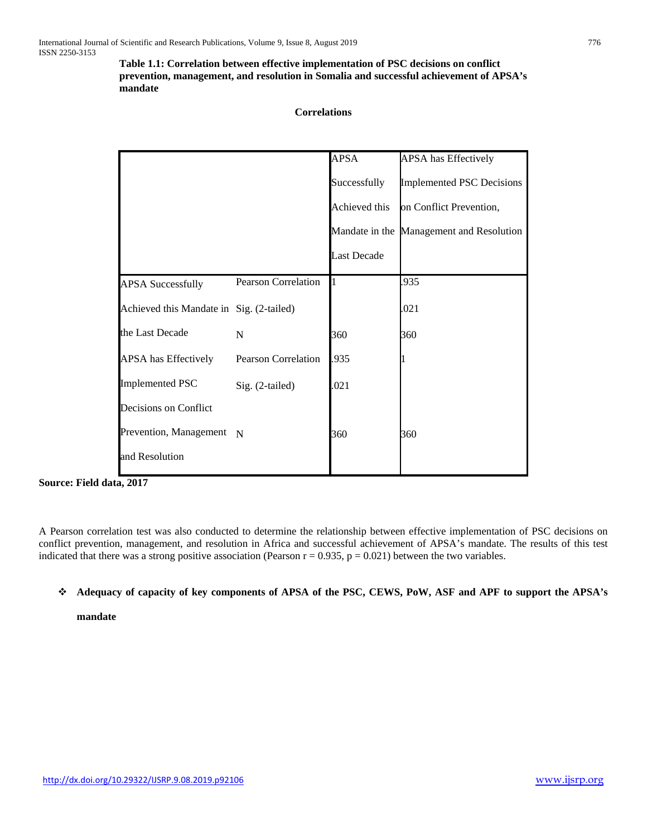**Table 1.1: Correlation between effective implementation of PSC decisions on conflict prevention, management, and resolution in Somalia and successful achievement of APSA's mandate**

### **Correlations**

|                                          |                     | <b>APSA</b>        | APSA has Effectively                     |
|------------------------------------------|---------------------|--------------------|------------------------------------------|
|                                          |                     | Successfully       | <b>Implemented PSC Decisions</b>         |
|                                          |                     | Achieved this      | on Conflict Prevention,                  |
|                                          |                     |                    | Mandate in the Management and Resolution |
|                                          |                     | <b>Last Decade</b> |                                          |
| <b>APSA Successfully</b>                 | Pearson Correlation |                    | .935                                     |
| Achieved this Mandate in Sig. (2-tailed) |                     |                    | .021                                     |
| the Last Decade                          | N                   | 360                | 360                                      |
| <b>APSA</b> has Effectively              | Pearson Correlation | .935               |                                          |
| <b>Implemented PSC</b>                   | Sig. (2-tailed)     | .021               |                                          |
| Decisions on Conflict                    |                     |                    |                                          |
| Prevention, Management N                 |                     | 360                | 360                                      |
| and Resolution                           |                     |                    |                                          |

**Source: Field data, 2017**

A Pearson correlation test was also conducted to determine the relationship between effective implementation of PSC decisions on conflict prevention, management, and resolution in Africa and successful achievement of APSA's mandate. The results of this test indicated that there was a strong positive association (Pearson  $r = 0.935$ ,  $p = 0.021$ ) between the two variables.

## **Adequacy of capacity of key components of APSA of the PSC, CEWS, PoW, ASF and APF to support the APSA's**

**mandate**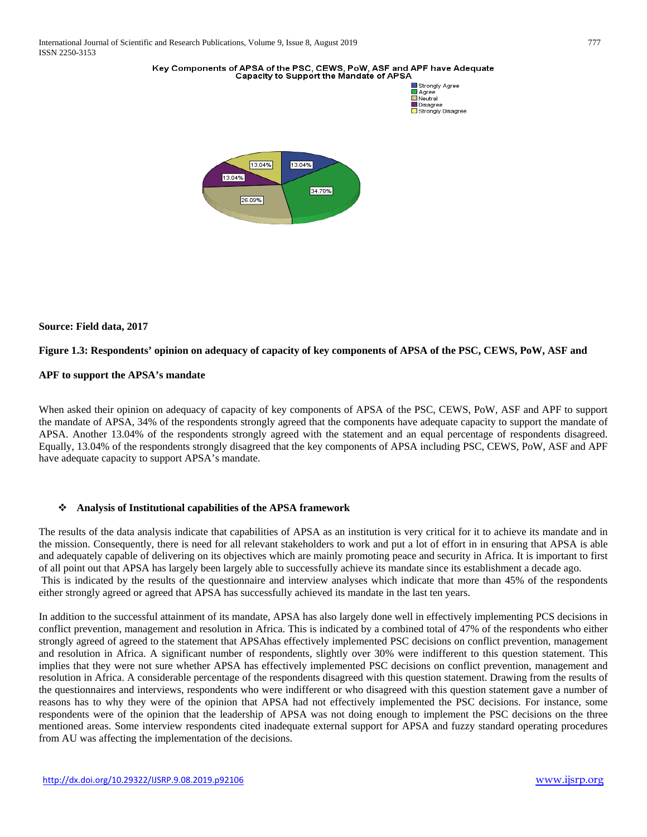#### Key Components of APSA of the PSC, CEWS, PoW, ASF and APF have Adequate Capacity to Support the Mandate of APSA



### **Source: Field data, 2017**

#### **Figure 1.3: Respondents' opinion on adequacy of capacity of key components of APSA of the PSC, CEWS, PoW, ASF and**

#### **APF to support the APSA's mandate**

When asked their opinion on adequacy of capacity of key components of APSA of the PSC, CEWS, PoW, ASF and APF to support the mandate of APSA, 34% of the respondents strongly agreed that the components have adequate capacity to support the mandate of APSA. Another 13.04% of the respondents strongly agreed with the statement and an equal percentage of respondents disagreed. Equally, 13.04% of the respondents strongly disagreed that the key components of APSA including PSC, CEWS, PoW, ASF and APF have adequate capacity to support APSA's mandate.

#### **Analysis of Institutional capabilities of the APSA framework**

The results of the data analysis indicate that capabilities of APSA as an institution is very critical for it to achieve its mandate and in the mission. Consequently, there is need for all relevant stakeholders to work and put a lot of effort in in ensuring that APSA is able and adequately capable of delivering on its objectives which are mainly promoting peace and security in Africa. It is important to first of all point out that APSA has largely been largely able to successfully achieve its mandate since its establishment a decade ago. This is indicated by the results of the questionnaire and interview analyses which indicate that more than 45% of the respondents either strongly agreed or agreed that APSA has successfully achieved its mandate in the last ten years.

In addition to the successful attainment of its mandate, APSA has also largely done well in effectively implementing PCS decisions in conflict prevention, management and resolution in Africa. This is indicated by a combined total of 47% of the respondents who either strongly agreed of agreed to the statement that APSAhas effectively implemented PSC decisions on conflict prevention, management and resolution in Africa. A significant number of respondents, slightly over 30% were indifferent to this question statement. This implies that they were not sure whether APSA has effectively implemented PSC decisions on conflict prevention, management and resolution in Africa. A considerable percentage of the respondents disagreed with this question statement. Drawing from the results of the questionnaires and interviews, respondents who were indifferent or who disagreed with this question statement gave a number of reasons has to why they were of the opinion that APSA had not effectively implemented the PSC decisions. For instance, some respondents were of the opinion that the leadership of APSA was not doing enough to implement the PSC decisions on the three mentioned areas. Some interview respondents cited inadequate external support for APSA and fuzzy standard operating procedures from AU was affecting the implementation of the decisions.